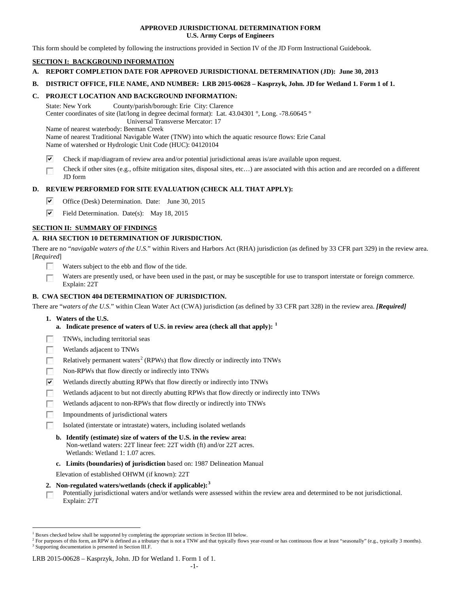## **APPROVED JURISDICTIONAL DETERMINATION FORM U.S. Army Corps of Engineers**

This form should be completed by following the instructions provided in Section IV of the JD Form Instructional Guidebook.

# **SECTION I: BACKGROUND INFORMATION**

- **A. REPORT COMPLETION DATE FOR APPROVED JURISDICTIONAL DETERMINATION (JD): June 30, 2013**
- **B. DISTRICT OFFICE, FILE NAME, AND NUMBER: LRB 2015-00628 – Kasprzyk, John. JD for Wetland 1. Form 1 of 1.**

## **C. PROJECT LOCATION AND BACKGROUND INFORMATION:**

State: New York County/parish/borough: Erie City: Clarence Center coordinates of site (lat/long in degree decimal format): Lat. 43.04301 °, Long. -78.60645 ° Universal Transverse Mercator: 17

Name of nearest waterbody: Beeman Creek

Name of nearest Traditional Navigable Water (TNW) into which the aquatic resource flows: Erie Canal Name of watershed or Hydrologic Unit Code (HUC): 04120104

- ⊽ Check if map/diagram of review area and/or potential jurisdictional areas is/are available upon request.
- Check if other sites (e.g., offsite mitigation sites, disposal sites, etc…) are associated with this action and are recorded on a different П JD form

# **D. REVIEW PERFORMED FOR SITE EVALUATION (CHECK ALL THAT APPLY):**

- ⊽ Office (Desk) Determination. Date: June 30, 2015
- $\overline{\mathbf{v}}$ Field Determination. Date(s): May 18, 2015

# **SECTION II: SUMMARY OF FINDINGS**

# **A. RHA SECTION 10 DETERMINATION OF JURISDICTION.**

There are no "*navigable waters of the U.S.*" within Rivers and Harbors Act (RHA) jurisdiction (as defined by 33 CFR part 329) in the review area. [*Required*]

- Waters subject to the ebb and flow of the tide.
- Waters are presently used, or have been used in the past, or may be susceptible for use to transport interstate or foreign commerce. Explain: 22T

# **B. CWA SECTION 404 DETERMINATION OF JURISDICTION.**

There are "*waters of the U.S.*" within Clean Water Act (CWA) jurisdiction (as defined by 33 CFR part 328) in the review area. *[Required]*

- **1. Waters of the U.S.**
	- **a. Indicate presence of waters of U.S. in review area (check all that apply): [1](#page-0-0)**
- TNWs, including territorial seas **R**
- $\sim$ Wetlands adjacent to TNWs
- Relatively permanent waters<sup>[2](#page-0-1)</sup> (RPWs) that flow directly or indirectly into TNWs **FRI**
- $\sim$ Non-RPWs that flow directly or indirectly into TNWs
- ⊽ Wetlands directly abutting RPWs that flow directly or indirectly into TNWs
- F Wetlands adjacent to but not directly abutting RPWs that flow directly or indirectly into TNWs
- Wetlands adjacent to non-RPWs that flow directly or indirectly into TNWs **R**
- $\overline{a}$ Impoundments of jurisdictional waters
- Isolated (interstate or intrastate) waters, including isolated wetlands

# **b. Identify (estimate) size of waters of the U.S. in the review area:**

- Non-wetland waters: 22T linear feet: 22T width (ft) and/or 22T acres. Wetlands: Wetland 1: 1.07 acres.
- **c. Limits (boundaries) of jurisdiction** based on: 1987 Delineation Manual

Elevation of established OHWM (if known): 22T

- **2. Non-regulated waters/wetlands (check if applicable): [3](#page-0-2)**
- Potentially jurisdictional waters and/or wetlands were assessed within the review area and determined to be not jurisdictional.  $\sim$ Explain: 27T

#### LRB 2015-00628 – Kasprzyk, John. JD for Wetland 1. Form 1 of 1.

<span id="page-0-0"></span><sup>&</sup>lt;sup>1</sup> Boxes checked below shall be supported by completing the appropriate sections in Section III below.

<span id="page-0-2"></span><span id="page-0-1"></span> $^2$  For purposes of this form, an RPW is defined as a tributary that is not a TNW and that typically flows year-round or has continuous flow at least "seasonally" (e.g., typically 3 months).  $^3$  Supporting documentation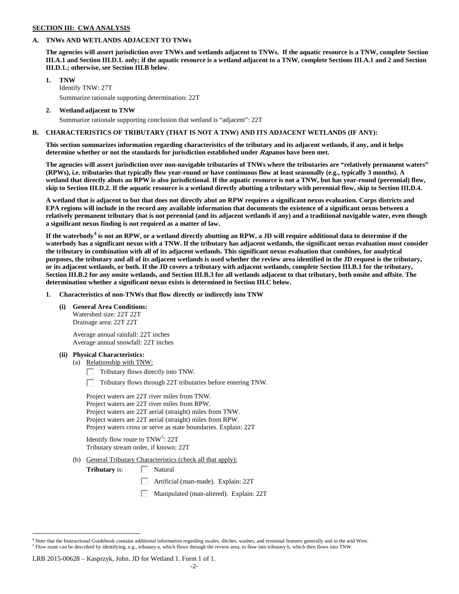## **SECTION III: CWA ANALYSIS**

# **A. TNWs AND WETLANDS ADJACENT TO TNWs**

**The agencies will assert jurisdiction over TNWs and wetlands adjacent to TNWs. If the aquatic resource is a TNW, complete Section III.A.1 and Section III.D.1. only; if the aquatic resource is a wetland adjacent to a TNW, complete Sections III.A.1 and 2 and Section III.D.1.; otherwise, see Section III.B below**.

- **1. TNW**  Identify TNW: 27T Summarize rationale supporting determination: 22T
- **2. Wetland adjacent to TNW** Summarize rationale supporting conclusion that wetland is "adjacent": 22T

# **B. CHARACTERISTICS OF TRIBUTARY (THAT IS NOT A TNW) AND ITS ADJACENT WETLANDS (IF ANY):**

**This section summarizes information regarding characteristics of the tributary and its adjacent wetlands, if any, and it helps determine whether or not the standards for jurisdiction established under Rapanos have been met.** 

**The agencies will assert jurisdiction over non-navigable tributaries of TNWs where the tributaries are "relatively permanent waters" (RPWs), i.e. tributaries that typically flow year-round or have continuous flow at least seasonally (e.g., typically 3 months). A wetland that directly abuts an RPW is also jurisdictional. If the aquatic resource is not a TNW, but has year-round (perennial) flow, skip to Section III.D.2. If the aquatic resource is a wetland directly abutting a tributary with perennial flow, skip to Section III.D.4.**

**A wetland that is adjacent to but that does not directly abut an RPW requires a significant nexus evaluation. Corps districts and EPA regions will include in the record any available information that documents the existence of a significant nexus between a relatively permanent tributary that is not perennial (and its adjacent wetlands if any) and a traditional navigable water, even though a significant nexus finding is not required as a matter of law.**

**If the waterbody[4](#page-1-0) is not an RPW, or a wetland directly abutting an RPW, a JD will require additional data to determine if the waterbody has a significant nexus with a TNW. If the tributary has adjacent wetlands, the significant nexus evaluation must consider the tributary in combination with all of its adjacent wetlands. This significant nexus evaluation that combines, for analytical purposes, the tributary and all of its adjacent wetlands is used whether the review area identified in the JD request is the tributary, or its adjacent wetlands, or both. If the JD covers a tributary with adjacent wetlands, complete Section III.B.1 for the tributary, Section III.B.2 for any onsite wetlands, and Section III.B.3 for all wetlands adjacent to that tributary, both onsite and offsite. The determination whether a significant nexus exists is determined in Section III.C below.**

**1. Characteristics of non-TNWs that flow directly or indirectly into TNW**

**(i) General Area Conditions:**

Watershed size: 22T 22T Drainage area: 22T 22T

Average annual rainfall: 22T inches Average annual snowfall: 22T inches

## **(ii) Physical Characteristics:**

- (a) Relationship with TNW:
	- Tributary flows directly into TNW.
	- Tributary flows through 22T tributaries before entering TNW.

Project waters are 22T river miles from TNW. Project waters are 22T river miles from RPW. Project waters are 22T aerial (straight) miles from TNW. Project waters are 22T aerial (straight) miles from RPW. Project waters cross or serve as state boundaries. Explain: 22T

Identify flow route to TNW<sup>[5](#page-1-1)</sup>: 22T Tributary stream order, if known: 22T

(b) General Tributary Characteristics (check all that apply):

**Tributary** is: Natural

- Artificial (man-made). Explain: 22T
- Manipulated (man-altered). Explain: 22T

## LRB 2015-00628 – Kasprzyk, John. JD for Wetland 1. Form 1 of 1.

<span id="page-1-1"></span><span id="page-1-0"></span> $4$  Note that the Instructional Guidebook contains additional information regarding swales, ditches, washes, and erosional features generally and in the arid West.<br> $5$  Flow route can be described by identifying, e.g., tri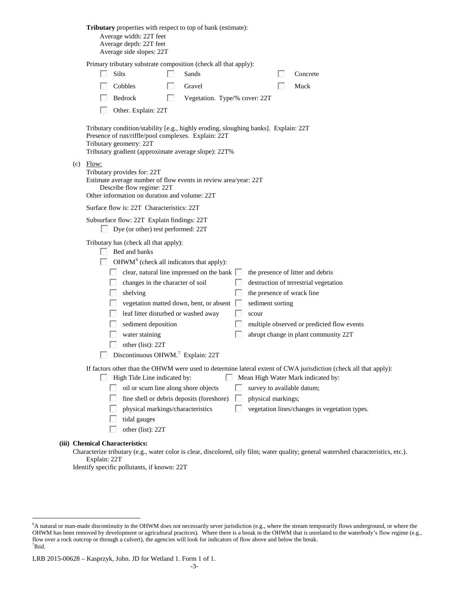|     | Tributary properties with respect to top of bank (estimate):<br>Average width: 22T feet<br>Average depth: 22T feet<br>Average side slopes: 22T                                                                                                                                                                                                                                                                                                                                                                                                                                                                                                                                                               |  |  |  |
|-----|--------------------------------------------------------------------------------------------------------------------------------------------------------------------------------------------------------------------------------------------------------------------------------------------------------------------------------------------------------------------------------------------------------------------------------------------------------------------------------------------------------------------------------------------------------------------------------------------------------------------------------------------------------------------------------------------------------------|--|--|--|
|     | Primary tributary substrate composition (check all that apply):<br>Silts<br>Sands<br>Concrete<br>M<br>Cobbles<br>Gravel<br>Muck<br>Bedrock<br>Vegetation. Type/% cover: 22T<br>ЭĪ<br>Other. Explain: 22T                                                                                                                                                                                                                                                                                                                                                                                                                                                                                                     |  |  |  |
|     | Tributary condition/stability [e.g., highly eroding, sloughing banks]. Explain: 22T<br>Presence of run/riffle/pool complexes. Explain: 22T<br>Tributary geometry: 22T<br>Tributary gradient (approximate average slope): 22T%                                                                                                                                                                                                                                                                                                                                                                                                                                                                                |  |  |  |
| (c) | Flow:<br>Tributary provides for: 22T<br>Estimate average number of flow events in review area/year: 22T<br>Describe flow regime: 22T<br>Other information on duration and volume: 22T                                                                                                                                                                                                                                                                                                                                                                                                                                                                                                                        |  |  |  |
|     | Surface flow is: 22T Characteristics: 22T                                                                                                                                                                                                                                                                                                                                                                                                                                                                                                                                                                                                                                                                    |  |  |  |
|     | Subsurface flow: 22T Explain findings: 22T<br>Dye (or other) test performed: 22T                                                                                                                                                                                                                                                                                                                                                                                                                                                                                                                                                                                                                             |  |  |  |
|     | Tributary has (check all that apply):<br>$\Box$ Bed and banks<br>$OHWM6$ (check all indicators that apply):<br>clear, natural line impressed on the bank<br>the presence of litter and debris<br><b>College</b><br>changes in the character of soil<br>destruction of terrestrial vegetation<br>the presence of wrack line<br>shelving<br>vegetation matted down, bent, or absent<br>sediment sorting<br><b>1999</b><br><b>Table</b><br>leaf litter disturbed or washed away<br>scour<br><b>Barbara</b><br>sediment deposition<br>multiple observed or predicted flow events<br>water staining<br>abrupt change in plant community 22T<br>other (list): 22T<br>Discontinuous OHWM. <sup>7</sup> Explain: 22T |  |  |  |
|     | If factors other than the OHWM were used to determine lateral extent of CWA jurisdiction (check all that apply):<br><b>STAR</b><br>High Tide Line indicated by:<br>Mean High Water Mark indicated by:<br>oil or scum line along shore objects<br>survey to available datum;<br>fine shell or debris deposits (foreshore)<br>physical markings;<br>physical markings/characteristics<br>vegetation lines/changes in vegetation types.<br>tidal gauges<br>other (list): 22T<br><b>Chemical Characteristics:</b>                                                                                                                                                                                                |  |  |  |

Characterize tributary (e.g., water color is clear, discolored, oily film; water quality; general watershed characteristics, etc.). Explain: 22T

Identify specific pollutants, if known: 22T

**(iii)** 

<span id="page-2-0"></span> <sup>6</sup> <sup>6</sup>A natural or man-made discontinuity in the OHWM does not necessarily sever jurisdiction (e.g., where the stream temporarily flows underground, or where the OHWM has been removed by development or agricultural practices). Where there is a break in the OHWM that is unrelated to the waterbody's flow regime (e.g., flow over a rock outcrop or through a culvert), the agencies will look for indicators of flow above and below the break. 7 Ibid.

<span id="page-2-1"></span>LRB 2015-00628 – Kasprzyk, John. JD for Wetland 1. Form 1 of 1.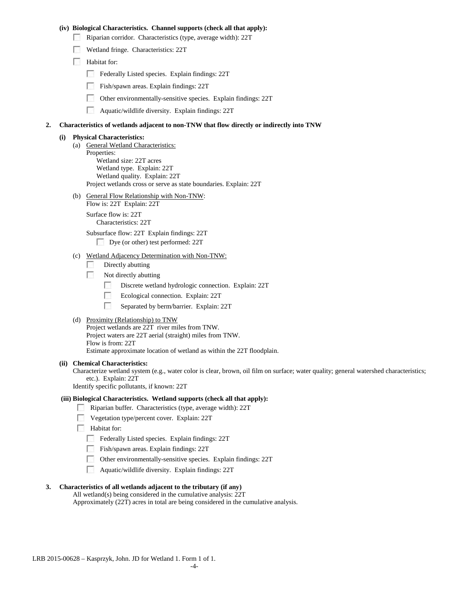## **(iv) Biological Characteristics. Channel supports (check all that apply):**

- Riparian corridor. Characteristics (type, average width): 22T
- Wetland fringe. Characteristics: 22T
- Habitat for:
	- Federally Listed species. Explain findings: 22T
	- Fish/spawn areas. Explain findings: 22T
	- $\mathcal{L}_{\mathrm{c}}$  ,  $\mathcal{L}_{\mathrm{c}}$ Other environmentally-sensitive species. Explain findings: 22T
	- $\mathcal{L}_{\mathcal{A}}$ Aquatic/wildlife diversity. Explain findings: 22T

## **2. Characteristics of wetlands adjacent to non-TNW that flow directly or indirectly into TNW**

#### **(i) Physical Characteristics:**

- (a) General Wetland Characteristics: Properties: Wetland size: 22T acres Wetland type. Explain: 22T Wetland quality. Explain: 22T Project wetlands cross or serve as state boundaries. Explain: 22T
- (b) General Flow Relationship with Non-TNW: Flow is: 22T Explain: 22T

Surface flow is: 22T Characteristics: 22T

Subsurface flow: 22T Explain findings: 22T

Dye (or other) test performed: 22T

# (c) Wetland Adjacency Determination with Non-TNW:

- 7 Directly abutting
- **1999** Not directly abutting
	- $\sim$ Discrete wetland hydrologic connection. Explain: 22T
	- $\overline{a}$ Ecological connection. Explain: 22T
	- $\mathcal{L}_{\mathcal{A}}$ Separated by berm/barrier. Explain: 22T
- (d) Proximity (Relationship) to TNW

Project wetlands are 22T river miles from TNW. Project waters are 22T aerial (straight) miles from TNW. Flow is from: 22T Estimate approximate location of wetland as within the 22T floodplain.

#### **(ii) Chemical Characteristics:**

Characterize wetland system (e.g., water color is clear, brown, oil film on surface; water quality; general watershed characteristics; etc.). Explain: 22T

Identify specific pollutants, if known: 22T

## **(iii) Biological Characteristics. Wetland supports (check all that apply):**

- Riparian buffer. Characteristics (type, average width): 22T
- **Vegetation type/percent cover. Explain: 22T**
- **Habitat for:** 
	- Federally Listed species. Explain findings: 22T
	- Fish/spawn areas. Explain findings: 22T
	- Other environmentally-sensitive species. Explain findings: 22T
	- Aquatic/wildlife diversity. Explain findings: 22T

## **3. Characteristics of all wetlands adjacent to the tributary (if any)**

All wetland(s) being considered in the cumulative analysis: 22T Approximately (22T) acres in total are being considered in the cumulative analysis.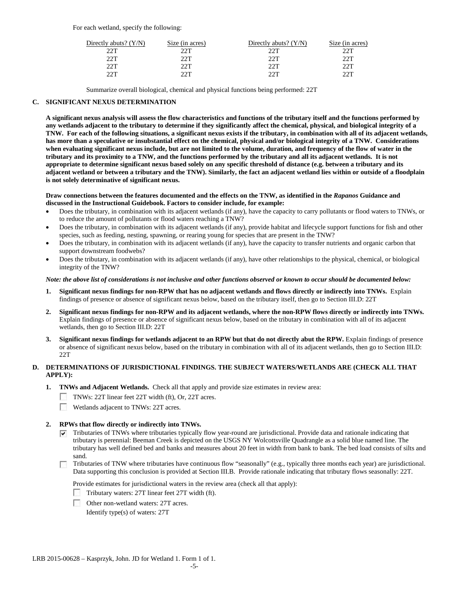For each wetland, specify the following:

| Directly abuts? $(Y/N)$ | Size (in acres) | Directly abuts? (Y/N) | Size (in acres) |
|-------------------------|-----------------|-----------------------|-----------------|
| 22T                     | つつT             | 22T                   | 22T             |
| 22T                     | つつT             | 22T                   | 22T             |
| 22T                     | つつT             | 22T                   | 22T             |
| つつT                     | ንንጥ             | 2 J T                 | つつT             |

Summarize overall biological, chemical and physical functions being performed: 22T

# **C. SIGNIFICANT NEXUS DETERMINATION**

**A significant nexus analysis will assess the flow characteristics and functions of the tributary itself and the functions performed by any wetlands adjacent to the tributary to determine if they significantly affect the chemical, physical, and biological integrity of a TNW. For each of the following situations, a significant nexus exists if the tributary, in combination with all of its adjacent wetlands, has more than a speculative or insubstantial effect on the chemical, physical and/or biological integrity of a TNW. Considerations when evaluating significant nexus include, but are not limited to the volume, duration, and frequency of the flow of water in the tributary and its proximity to a TNW, and the functions performed by the tributary and all its adjacent wetlands. It is not appropriate to determine significant nexus based solely on any specific threshold of distance (e.g. between a tributary and its adjacent wetland or between a tributary and the TNW). Similarly, the fact an adjacent wetland lies within or outside of a floodplain is not solely determinative of significant nexus.** 

## **Draw connections between the features documented and the effects on the TNW, as identified in the** *Rapanos* **Guidance and discussed in the Instructional Guidebook. Factors to consider include, for example:**

- Does the tributary, in combination with its adjacent wetlands (if any), have the capacity to carry pollutants or flood waters to TNWs, or to reduce the amount of pollutants or flood waters reaching a TNW?
- Does the tributary, in combination with its adjacent wetlands (if any), provide habitat and lifecycle support functions for fish and other species, such as feeding, nesting, spawning, or rearing young for species that are present in the TNW?
- Does the tributary, in combination with its adjacent wetlands (if any), have the capacity to transfer nutrients and organic carbon that support downstream foodwebs?
- Does the tributary, in combination with its adjacent wetlands (if any), have other relationships to the physical, chemical, or biological integrity of the TNW?

# *Note: the above list of considerations is not inclusive and other functions observed or known to occur should be documented below:*

- **1. Significant nexus findings for non-RPW that has no adjacent wetlands and flows directly or indirectly into TNWs.** Explain findings of presence or absence of significant nexus below, based on the tributary itself, then go to Section III.D: 22T
- **2. Significant nexus findings for non-RPW and its adjacent wetlands, where the non-RPW flows directly or indirectly into TNWs.**  Explain findings of presence or absence of significant nexus below, based on the tributary in combination with all of its adjacent wetlands, then go to Section III.D: 22T
- **3. Significant nexus findings for wetlands adjacent to an RPW but that do not directly abut the RPW.** Explain findings of presence or absence of significant nexus below, based on the tributary in combination with all of its adjacent wetlands, then go to Section III.D: 22T

# **D. DETERMINATIONS OF JURISDICTIONAL FINDINGS. THE SUBJECT WATERS/WETLANDS ARE (CHECK ALL THAT APPLY):**

- **1. TNWs and Adjacent Wetlands.** Check all that apply and provide size estimates in review area:
	- TNWs: 22T linear feet 22T width (ft), Or, 22T acres.
	- Wetlands adjacent to TNWs: 22T acres.

# **2. RPWs that flow directly or indirectly into TNWs.**

- $\triangledown$  Tributaries of TNWs where tributaries typically flow year-round are jurisdictional. Provide data and rationale indicating that tributary is perennial: Beeman Creek is depicted on the USGS NY Wolcottsville Quadrangle as a solid blue named line. The tributary has well defined bed and banks and measures about 20 feet in width from bank to bank. The bed load consists of silts and sand.
- Tributaries of TNW where tributaries have continuous flow "seasonally" (e.g., typically three months each year) are jurisdictional. Data supporting this conclusion is provided at Section III.B. Provide rationale indicating that tributary flows seasonally: 22T.

Provide estimates for jurisdictional waters in the review area (check all that apply):

Tributary waters: 27T linear feet 27T width (ft).

Other non-wetland waters: 27T acres.

Identify type(s) of waters: 27T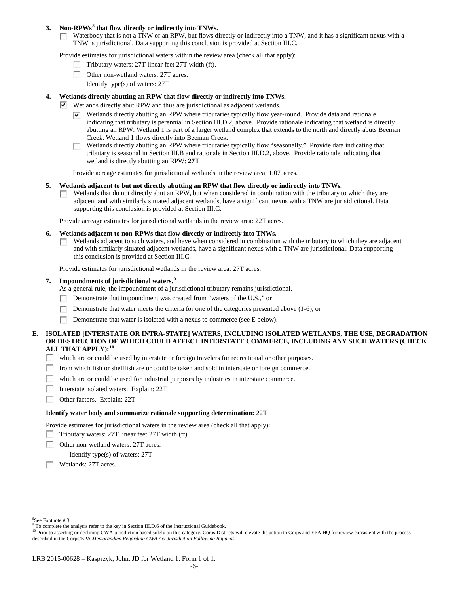# **3. Non-RPWs[8](#page-5-0) that flow directly or indirectly into TNWs.**

Waterbody that is not a TNW or an RPW, but flows directly or indirectly into a TNW, and it has a significant nexus with a  $\sim 10$ TNW is jurisdictional. Data supporting this conclusion is provided at Section III.C.

Provide estimates for jurisdictional waters within the review area (check all that apply):

- Tributary waters: 27T linear feet 27T width (ft).
- Other non-wetland waters: 27T acres.
	- Identify type(s) of waters: 27T

# **4. Wetlands directly abutting an RPW that flow directly or indirectly into TNWs.**

- $\vee$  Wetlands directly abut RPW and thus are jurisdictional as adjacent wetlands.
	- Wetlands directly abutting an RPW where tributaries typically flow year-round. Provide data and rationale indicating that tributary is perennial in Section III.D.2, above. Provide rationale indicating that wetland is directly abutting an RPW: Wetland 1 is part of a larger wetland complex that extends to the north and directly abuts Beeman Creek. Wetland 1 flows directly into Beeman Creek.
	- Wetlands directly abutting an RPW where tributaries typically flow "seasonally." Provide data indicating that tributary is seasonal in Section III.B and rationale in Section III.D.2, above. Provide rationale indicating that wetland is directly abutting an RPW: **27T**

Provide acreage estimates for jurisdictional wetlands in the review area: 1.07 acres.

## **5. Wetlands adjacent to but not directly abutting an RPW that flow directly or indirectly into TNWs.**

Wetlands that do not directly abut an RPW, but when considered in combination with the tributary to which they are **Barbara** adjacent and with similarly situated adjacent wetlands, have a significant nexus with a TNW are jurisidictional. Data supporting this conclusion is provided at Section III.C.

Provide acreage estimates for jurisdictional wetlands in the review area: 22T acres.

## **6. Wetlands adjacent to non-RPWs that flow directly or indirectly into TNWs.**

Wetlands adjacent to such waters, and have when considered in combination with the tributary to which they are adjacent  $\overline{a}$ and with similarly situated adjacent wetlands, have a significant nexus with a TNW are jurisdictional. Data supporting this conclusion is provided at Section III.C.

Provide estimates for jurisdictional wetlands in the review area: 27T acres.

# **7. Impoundments of jurisdictional waters. [9](#page-5-1)**

- As a general rule, the impoundment of a jurisdictional tributary remains jurisdictional.
- Demonstrate that impoundment was created from "waters of the U.S.," or
- Demonstrate that water meets the criteria for one of the categories presented above (1-6), or
- **B** Demonstrate that water is isolated with a nexus to commerce (see E below).

# **E. ISOLATED [INTERSTATE OR INTRA-STATE] WATERS, INCLUDING ISOLATED WETLANDS, THE USE, DEGRADATION OR DESTRUCTION OF WHICH COULD AFFECT INTERSTATE COMMERCE, INCLUDING ANY SUCH WATERS (CHECK ALL THAT APPLY):[10](#page-5-2)**

- which are or could be used by interstate or foreign travelers for recreational or other purposes. **1999年**
- **1999** from which fish or shellfish are or could be taken and sold in interstate or foreign commerce.
- $\sim$ which are or could be used for industrial purposes by industries in interstate commerce.
- 57 Interstate isolated waters.Explain: 22T
- **1999** Other factors.Explain: 22T

## **Identify water body and summarize rationale supporting determination:** 22T

Provide estimates for jurisdictional waters in the review area (check all that apply):

- Tributary waters: 27T linear feet 27T width (ft).
- $\mathcal{L}_{\mathcal{A}}$ Other non-wetland waters: 27T acres.
	- Identify type(s) of waters: 27T
- **Wetlands: 27T acres.**

 $\frac{1}{8}$ See Footnote # 3.

<span id="page-5-1"></span><span id="page-5-0"></span><sup>&</sup>lt;sup>9</sup> To complete the analysis refer to the key in Section III.D.6 of the Instructional Guidebook.

<span id="page-5-2"></span><sup>&</sup>lt;sup>10</sup> Prior to asserting or declining CWA jurisdiction based solely on this category, Corps Districts will elevate the action to Corps and EPA HQ for review consistent with the process described in the Corps/EPA *Memorandum Regarding CWA Act Jurisdiction Following Rapanos.*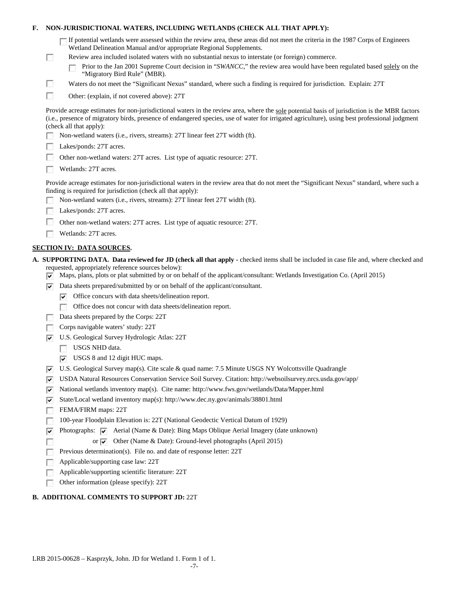| F. |                                                                          | NON-JURISDICTIONAL WATERS, INCLUDING WETLANDS (CHECK ALL THAT APPLY):                                                                                                                                                                                                                                                                                                                                                                     |  |
|----|--------------------------------------------------------------------------|-------------------------------------------------------------------------------------------------------------------------------------------------------------------------------------------------------------------------------------------------------------------------------------------------------------------------------------------------------------------------------------------------------------------------------------------|--|
|    | L                                                                        | If potential wetlands were assessed within the review area, these areas did not meet the criteria in the 1987 Corps of Engineers<br>Wetland Delineation Manual and/or appropriate Regional Supplements.<br>Review area included isolated waters with no substantial nexus to interstate (or foreign) commerce.<br>Prior to the Jan 2001 Supreme Court decision in "SWANCC," the review area would have been regulated based solely on the |  |
|    |                                                                          | "Migratory Bird Rule" (MBR).                                                                                                                                                                                                                                                                                                                                                                                                              |  |
|    | <b>College</b>                                                           | Waters do not meet the "Significant Nexus" standard, where such a finding is required for jurisdiction. Explain: 27T                                                                                                                                                                                                                                                                                                                      |  |
|    | <b>B</b>                                                                 | Other: (explain, if not covered above): 27T                                                                                                                                                                                                                                                                                                                                                                                               |  |
|    |                                                                          | Provide acreage estimates for non-jurisdictional waters in the review area, where the sole potential basis of jurisdiction is the MBR factors<br>(i.e., presence of migratory birds, presence of endangered species, use of water for irrigated agriculture), using best professional judgment<br>(check all that apply):                                                                                                                 |  |
|    |                                                                          | Non-wetland waters (i.e., rivers, streams): 27T linear feet 27T width (ft).                                                                                                                                                                                                                                                                                                                                                               |  |
|    |                                                                          | Lakes/ponds: 27T acres.                                                                                                                                                                                                                                                                                                                                                                                                                   |  |
|    | Other non-wetland waters: 27T acres. List type of aquatic resource: 27T. |                                                                                                                                                                                                                                                                                                                                                                                                                                           |  |
|    |                                                                          | Wetlands: 27T acres.                                                                                                                                                                                                                                                                                                                                                                                                                      |  |
|    |                                                                          | Provide acreage estimates for non-jurisdictional waters in the review area that do not meet the "Significant Nexus" standard, where such a<br>finding is required for jurisdiction (check all that apply):                                                                                                                                                                                                                                |  |
|    |                                                                          | Non-wetland waters (i.e., rivers, streams): 27T linear feet 27T width (ft).                                                                                                                                                                                                                                                                                                                                                               |  |
|    |                                                                          | Lakes/ponds: 27T acres.                                                                                                                                                                                                                                                                                                                                                                                                                   |  |
|    |                                                                          | Other non-wetland waters: 27T acres. List type of aquatic resource: 27T.                                                                                                                                                                                                                                                                                                                                                                  |  |
|    |                                                                          | Wetlands: 27T acres.                                                                                                                                                                                                                                                                                                                                                                                                                      |  |
|    |                                                                          | <b>SECTION IV: DATA SOURCES.</b>                                                                                                                                                                                                                                                                                                                                                                                                          |  |
|    | ∣V                                                                       | A. SUPPORTING DATA. Data reviewed for JD (check all that apply - checked items shall be included in case file and, where checked and<br>requested, appropriately reference sources below):<br>Maps, plans, plots or plat submitted by or on behalf of the applicant/consultant: Wetlands Investigation Co. (April 2015)                                                                                                                   |  |
|    | ∣V                                                                       | Data sheets prepared/submitted by or on behalf of the applicant/consultant.                                                                                                                                                                                                                                                                                                                                                               |  |
|    |                                                                          | Office concurs with data sheets/delineation report.<br>է                                                                                                                                                                                                                                                                                                                                                                                  |  |
|    |                                                                          | Office does not concur with data sheets/delineation report.                                                                                                                                                                                                                                                                                                                                                                               |  |
|    |                                                                          | Data sheets prepared by the Corps: 22T                                                                                                                                                                                                                                                                                                                                                                                                    |  |
|    |                                                                          | Corps navigable waters' study: 22T                                                                                                                                                                                                                                                                                                                                                                                                        |  |
|    | է                                                                        | U.S. Geological Survey Hydrologic Atlas: 22T                                                                                                                                                                                                                                                                                                                                                                                              |  |
|    |                                                                          | USGS NHD data.                                                                                                                                                                                                                                                                                                                                                                                                                            |  |
|    |                                                                          | $\triangleright$ USGS 8 and 12 digit HUC maps.                                                                                                                                                                                                                                                                                                                                                                                            |  |
|    | ∣V                                                                       | U.S. Geological Survey map(s). Cite scale & quad name: 7.5 Minute USGS NY Wolcottsville Quadrangle                                                                                                                                                                                                                                                                                                                                        |  |
|    | v                                                                        | USDA Natural Resources Conservation Service Soil Survey. Citation: http://websoilsurvey.nrcs.usda.gov/app/                                                                                                                                                                                                                                                                                                                                |  |
|    | ▽                                                                        | National wetlands inventory map(s). Cite name: http://www.fws.gov/wetlands/Data/Mapper.html                                                                                                                                                                                                                                                                                                                                               |  |
|    | ∣V                                                                       | State/Local wetland inventory map(s): http://www.dec.ny.gov/animals/38801.html                                                                                                                                                                                                                                                                                                                                                            |  |
|    |                                                                          | FEMA/FIRM maps: 22T                                                                                                                                                                                                                                                                                                                                                                                                                       |  |
|    |                                                                          | 100-year Floodplain Elevation is: 22T (National Geodectic Vertical Datum of 1929)                                                                                                                                                                                                                                                                                                                                                         |  |
|    | v                                                                        | Photographs: v Aerial (Name & Date): Bing Maps Oblique Aerial Imagery (date unknown)                                                                                                                                                                                                                                                                                                                                                      |  |
|    |                                                                          | or $\vee$ Other (Name & Date): Ground-level photographs (April 2015)                                                                                                                                                                                                                                                                                                                                                                      |  |
|    |                                                                          | Previous determination(s). File no. and date of response letter: 22T                                                                                                                                                                                                                                                                                                                                                                      |  |
|    |                                                                          | Applicable/supporting case law: 22T                                                                                                                                                                                                                                                                                                                                                                                                       |  |
|    |                                                                          | Applicable/supporting scientific literature: 22T                                                                                                                                                                                                                                                                                                                                                                                          |  |
|    |                                                                          | Other information (please specify): 22T                                                                                                                                                                                                                                                                                                                                                                                                   |  |
|    |                                                                          | <b>B. ADDITIONAL COMMENTS TO SUPPORT JD: 22T</b>                                                                                                                                                                                                                                                                                                                                                                                          |  |